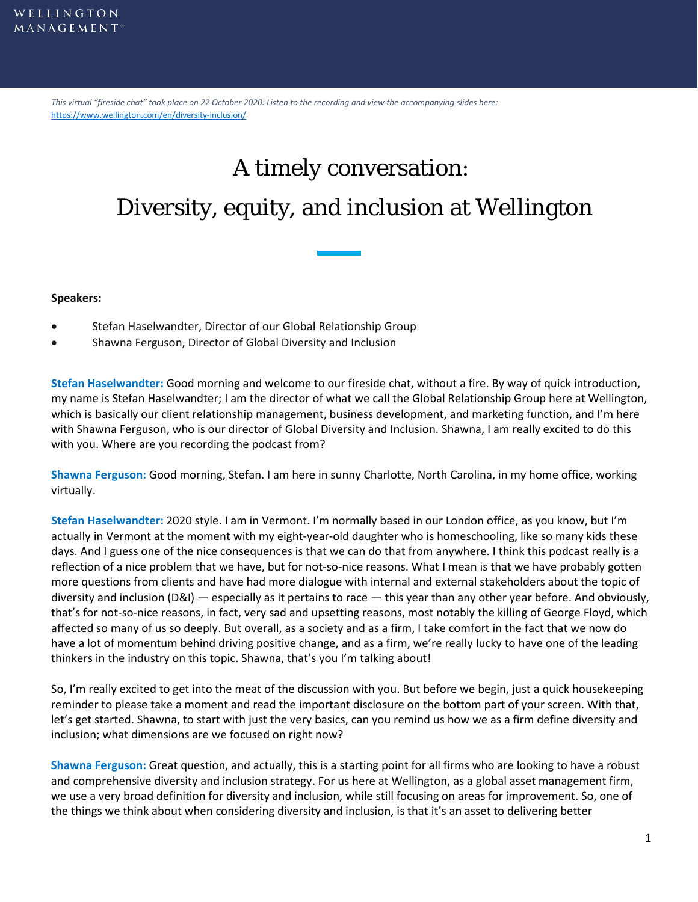*This virtual "fireside chat" took place on 22 October 2020. Listen to the recording and view the accompanying slides here:*  <https://www.wellington.com/en/diversity-inclusion/>

# A timely conversation: Diversity, equity, and inclusion at Wellington

#### **Speakers:**

- Stefan Haselwandter, Director of our Global Relationship Group
- Shawna Ferguson, Director of Global Diversity and Inclusion

**Stefan Haselwandter:** Good morning and welcome to our fireside chat, without a fire. By way of quick introduction, my name is Stefan Haselwandter; I am the director of what we call the Global Relationship Group here at Wellington, which is basically our client relationship management, business development, and marketing function, and I'm here with Shawna Ferguson, who is our director of Global Diversity and Inclusion. Shawna, I am really excited to do this with you. Where are you recording the podcast from?

**Shawna Ferguson:** Good morning, Stefan. I am here in sunny Charlotte, North Carolina, in my home office, working virtually.

**Stefan Haselwandter:** 2020 style. I am in Vermont. I'm normally based in our London office, as you know, but I'm actually in Vermont at the moment with my eight-year-old daughter who is homeschooling, like so many kids these days. And I guess one of the nice consequences is that we can do that from anywhere. I think this podcast really is a reflection of a nice problem that we have, but for not-so-nice reasons. What I mean is that we have probably gotten more questions from clients and have had more dialogue with internal and external stakeholders about the topic of diversity and inclusion (D&I) — especially as it pertains to race — this year than any other year before. And obviously, that's for not-so-nice reasons, in fact, very sad and upsetting reasons, most notably the killing of George Floyd, which affected so many of us so deeply. But overall, as a society and as a firm, I take comfort in the fact that we now do have a lot of momentum behind driving positive change, and as a firm, we're really lucky to have one of the leading thinkers in the industry on this topic. Shawna, that's you I'm talking about!

So, I'm really excited to get into the meat of the discussion with you. But before we begin, just a quick housekeeping reminder to please take a moment and read the important disclosure on the bottom part of your screen. With that, let's get started. Shawna, to start with just the very basics, can you remind us how we as a firm define diversity and inclusion; what dimensions are we focused on right now?

**Shawna Ferguson:** Great question, and actually, this is a starting point for all firms who are looking to have a robust and comprehensive diversity and inclusion strategy. For us here at Wellington, as a global asset management firm, we use a very broad definition for diversity and inclusion, while still focusing on areas for improvement. So, one of the things we think about when considering diversity and inclusion, is that it's an asset to delivering better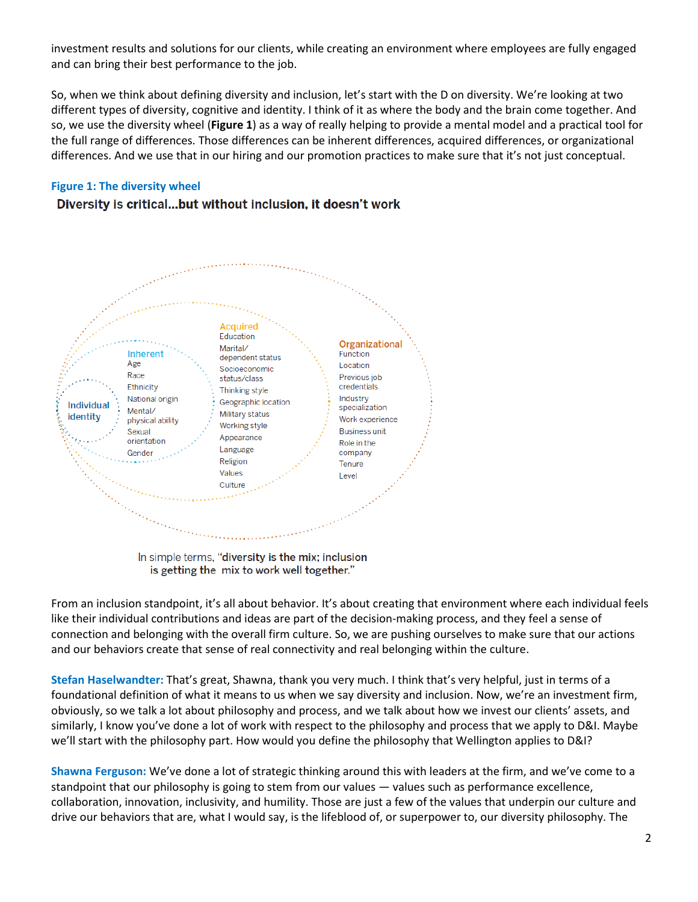investment results and solutions for our clients, while creating an environment where employees are fully engaged and can bring their best performance to the job.

So, when we think about defining diversity and inclusion, let's start with the D on diversity. We're looking at two different types of diversity, cognitive and identity. I think of it as where the body and the brain come together. And so, we use the diversity wheel (**Figure 1**) as a way of really helping to provide a mental model and a practical tool for the full range of differences. Those differences can be inherent differences, acquired differences, or organizational differences. And we use that in our hiring and our promotion practices to make sure that it's not just conceptual.

## **Figure 1: The diversity wheel**

# Diversity is critical...but without inclusion, it doesn't work



In simple terms, "diversity is the mix; inclusion is getting the mix to work well together."

From an inclusion standpoint, it's all about behavior. It's about creating that environment where each individual feels like their individual contributions and ideas are part of the decision-making process, and they feel a sense of connection and belonging with the overall firm culture. So, we are pushing ourselves to make sure that our actions and our behaviors create that sense of real connectivity and real belonging within the culture.

**Stefan Haselwandter:** That's great, Shawna, thank you very much. I think that's very helpful, just in terms of a foundational definition of what it means to us when we say diversity and inclusion. Now, we're an investment firm, obviously, so we talk a lot about philosophy and process, and we talk about how we invest our clients' assets, and similarly, I know you've done a lot of work with respect to the philosophy and process that we apply to D&I. Maybe we'll start with the philosophy part. How would you define the philosophy that Wellington applies to D&I?

**Shawna Ferguson:** We've done a lot of strategic thinking around this with leaders at the firm, and we've come to a standpoint that our philosophy is going to stem from our values — values such as performance excellence, collaboration, innovation, inclusivity, and humility. Those are just a few of the values that underpin our culture and drive our behaviors that are, what I would say, is the lifeblood of, or superpower to, our diversity philosophy. The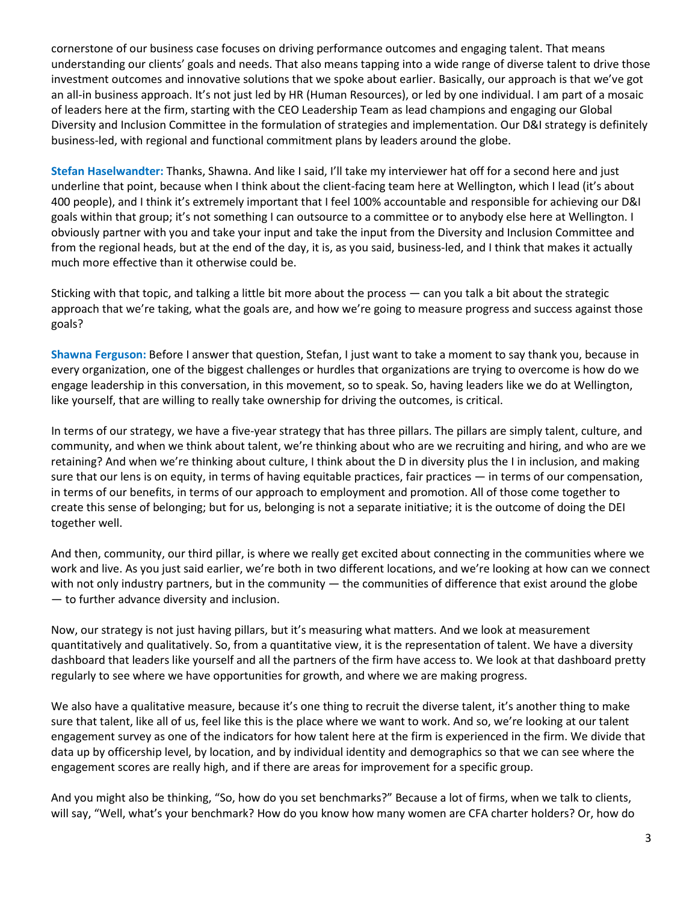cornerstone of our business case focuses on driving performance outcomes and engaging talent. That means understanding our clients' goals and needs. That also means tapping into a wide range of diverse talent to drive those investment outcomes and innovative solutions that we spoke about earlier. Basically, our approach is that we've got an all-in business approach. It's not just led by HR (Human Resources), or led by one individual. I am part of a mosaic of leaders here at the firm, starting with the CEO Leadership Team as lead champions and engaging our Global Diversity and Inclusion Committee in the formulation of strategies and implementation. Our D&I strategy is definitely business-led, with regional and functional commitment plans by leaders around the globe.

**Stefan Haselwandter:** Thanks, Shawna. And like I said, I'll take my interviewer hat off for a second here and just underline that point, because when I think about the client-facing team here at Wellington, which I lead (it's about 400 people), and I think it's extremely important that I feel 100% accountable and responsible for achieving our D&I goals within that group; it's not something I can outsource to a committee or to anybody else here at Wellington. I obviously partner with you and take your input and take the input from the Diversity and Inclusion Committee and from the regional heads, but at the end of the day, it is, as you said, business-led, and I think that makes it actually much more effective than it otherwise could be.

Sticking with that topic, and talking a little bit more about the process — can you talk a bit about the strategic approach that we're taking, what the goals are, and how we're going to measure progress and success against those goals?

**Shawna Ferguson:** Before I answer that question, Stefan, I just want to take a moment to say thank you, because in every organization, one of the biggest challenges or hurdles that organizations are trying to overcome is how do we engage leadership in this conversation, in this movement, so to speak. So, having leaders like we do at Wellington, like yourself, that are willing to really take ownership for driving the outcomes, is critical.

In terms of our strategy, we have a five-year strategy that has three pillars. The pillars are simply talent, culture, and community, and when we think about talent, we're thinking about who are we recruiting and hiring, and who are we retaining? And when we're thinking about culture, I think about the D in diversity plus the I in inclusion, and making sure that our lens is on equity, in terms of having equitable practices, fair practices — in terms of our compensation, in terms of our benefits, in terms of our approach to employment and promotion. All of those come together to create this sense of belonging; but for us, belonging is not a separate initiative; it is the outcome of doing the DEI together well.

And then, community, our third pillar, is where we really get excited about connecting in the communities where we work and live. As you just said earlier, we're both in two different locations, and we're looking at how can we connect with not only industry partners, but in the community — the communities of difference that exist around the globe — to further advance diversity and inclusion.

Now, our strategy is not just having pillars, but it's measuring what matters. And we look at measurement quantitatively and qualitatively. So, from a quantitative view, it is the representation of talent. We have a diversity dashboard that leaders like yourself and all the partners of the firm have access to. We look at that dashboard pretty regularly to see where we have opportunities for growth, and where we are making progress.

We also have a qualitative measure, because it's one thing to recruit the diverse talent, it's another thing to make sure that talent, like all of us, feel like this is the place where we want to work. And so, we're looking at our talent engagement survey as one of the indicators for how talent here at the firm is experienced in the firm. We divide that data up by officership level, by location, and by individual identity and demographics so that we can see where the engagement scores are really high, and if there are areas for improvement for a specific group.

And you might also be thinking, "So, how do you set benchmarks?" Because a lot of firms, when we talk to clients, will say, "Well, what's your benchmark? How do you know how many women are CFA charter holders? Or, how do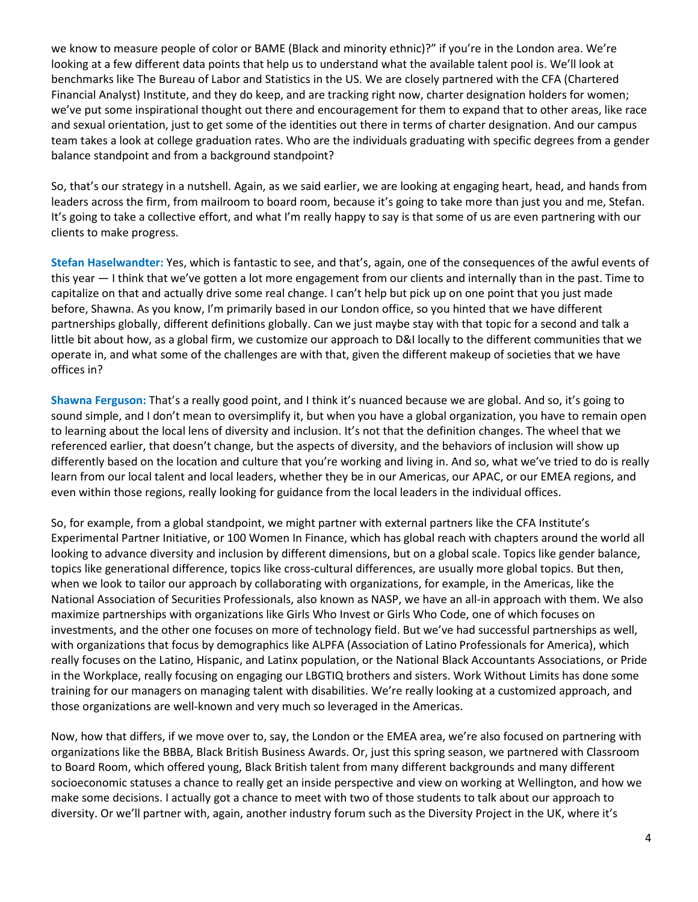we know to measure people of color or BAME (Black and minority ethnic)?" if you're in the London area. We're looking at a few different data points that help us to understand what the available talent pool is. We'll look at benchmarks like The Bureau of Labor and Statistics in the US. We are closely partnered with the CFA (Chartered Financial Analyst) Institute, and they do keep, and are tracking right now, charter designation holders for women; we've put some inspirational thought out there and encouragement for them to expand that to other areas, like race and sexual orientation, just to get some of the identities out there in terms of charter designation. And our campus team takes a look at college graduation rates. Who are the individuals graduating with specific degrees from a gender balance standpoint and from a background standpoint?

So, that's our strategy in a nutshell. Again, as we said earlier, we are looking at engaging heart, head, and hands from leaders across the firm, from mailroom to board room, because it's going to take more than just you and me, Stefan. It's going to take a collective effort, and what I'm really happy to say is that some of us are even partnering with our clients to make progress.

**Stefan Haselwandter:** Yes, which is fantastic to see, and that's, again, one of the consequences of the awful events of this year — I think that we've gotten a lot more engagement from our clients and internally than in the past. Time to capitalize on that and actually drive some real change. I can't help but pick up on one point that you just made before, Shawna. As you know, I'm primarily based in our London office, so you hinted that we have different partnerships globally, different definitions globally. Can we just maybe stay with that topic for a second and talk a little bit about how, as a global firm, we customize our approach to D&I locally to the different communities that we operate in, and what some of the challenges are with that, given the different makeup of societies that we have offices in?

**Shawna Ferguson:** That's a really good point, and I think it's nuanced because we are global. And so, it's going to sound simple, and I don't mean to oversimplify it, but when you have a global organization, you have to remain open to learning about the local lens of diversity and inclusion. It's not that the definition changes. The wheel that we referenced earlier, that doesn't change, but the aspects of diversity, and the behaviors of inclusion will show up differently based on the location and culture that you're working and living in. And so, what we've tried to do is really learn from our local talent and local leaders, whether they be in our Americas, our APAC, or our EMEA regions, and even within those regions, really looking for guidance from the local leaders in the individual offices.

So, for example, from a global standpoint, we might partner with external partners like the CFA Institute's Experimental Partner Initiative, or 100 Women In Finance, which has global reach with chapters around the world all looking to advance diversity and inclusion by different dimensions, but on a global scale. Topics like gender balance, topics like generational difference, topics like cross-cultural differences, are usually more global topics. But then, when we look to tailor our approach by collaborating with organizations, for example, in the Americas, like the National Association of Securities Professionals, also known as NASP, we have an all-in approach with them. We also maximize partnerships with organizations like Girls Who Invest or Girls Who Code, one of which focuses on investments, and the other one focuses on more of technology field. But we've had successful partnerships as well, with organizations that focus by demographics like ALPFA (Association of Latino Professionals for America), which really focuses on the Latino, Hispanic, and Latinx population, or the National Black Accountants Associations, or Pride in the Workplace, really focusing on engaging our LBGTIQ brothers and sisters. Work Without Limits has done some training for our managers on managing talent with disabilities. We're really looking at a customized approach, and those organizations are well-known and very much so leveraged in the Americas.

Now, how that differs, if we move over to, say, the London or the EMEA area, we're also focused on partnering with organizations like the BBBA, Black British Business Awards. Or, just this spring season, we partnered with Classroom to Board Room, which offered young, Black British talent from many different backgrounds and many different socioeconomic statuses a chance to really get an inside perspective and view on working at Wellington, and how we make some decisions. I actually got a chance to meet with two of those students to talk about our approach to diversity. Or we'll partner with, again, another industry forum such as the Diversity Project in the UK, where it's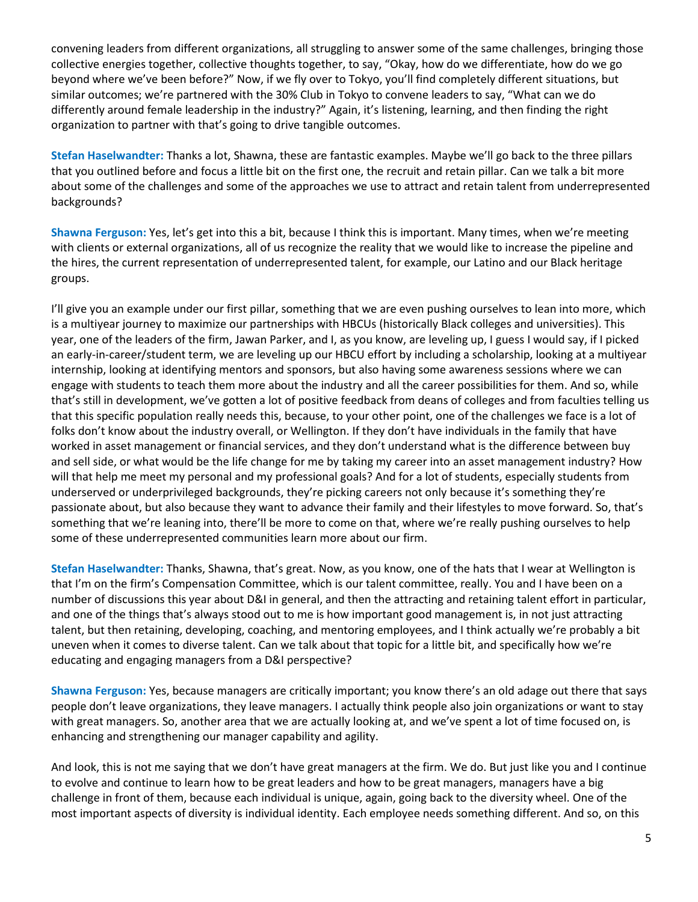convening leaders from different organizations, all struggling to answer some of the same challenges, bringing those collective energies together, collective thoughts together, to say, "Okay, how do we differentiate, how do we go beyond where we've been before?" Now, if we fly over to Tokyo, you'll find completely different situations, but similar outcomes; we're partnered with the 30% Club in Tokyo to convene leaders to say, "What can we do differently around female leadership in the industry?" Again, it's listening, learning, and then finding the right organization to partner with that's going to drive tangible outcomes.

**Stefan Haselwandter:** Thanks a lot, Shawna, these are fantastic examples. Maybe we'll go back to the three pillars that you outlined before and focus a little bit on the first one, the recruit and retain pillar. Can we talk a bit more about some of the challenges and some of the approaches we use to attract and retain talent from underrepresented backgrounds?

**Shawna Ferguson:** Yes, let's get into this a bit, because I think this is important. Many times, when we're meeting with clients or external organizations, all of us recognize the reality that we would like to increase the pipeline and the hires, the current representation of underrepresented talent, for example, our Latino and our Black heritage groups.

I'll give you an example under our first pillar, something that we are even pushing ourselves to lean into more, which is a multiyear journey to maximize our partnerships with HBCUs (historically Black colleges and universities). This year, one of the leaders of the firm, Jawan Parker, and I, as you know, are leveling up, I guess I would say, if I picked an early-in-career/student term, we are leveling up our HBCU effort by including a scholarship, looking at a multiyear internship, looking at identifying mentors and sponsors, but also having some awareness sessions where we can engage with students to teach them more about the industry and all the career possibilities for them. And so, while that's still in development, we've gotten a lot of positive feedback from deans of colleges and from faculties telling us that this specific population really needs this, because, to your other point, one of the challenges we face is a lot of folks don't know about the industry overall, or Wellington. If they don't have individuals in the family that have worked in asset management or financial services, and they don't understand what is the difference between buy and sell side, or what would be the life change for me by taking my career into an asset management industry? How will that help me meet my personal and my professional goals? And for a lot of students, especially students from underserved or underprivileged backgrounds, they're picking careers not only because it's something they're passionate about, but also because they want to advance their family and their lifestyles to move forward. So, that's something that we're leaning into, there'll be more to come on that, where we're really pushing ourselves to help some of these underrepresented communities learn more about our firm.

**Stefan Haselwandter:** Thanks, Shawna, that's great. Now, as you know, one of the hats that I wear at Wellington is that I'm on the firm's Compensation Committee, which is our talent committee, really. You and I have been on a number of discussions this year about D&I in general, and then the attracting and retaining talent effort in particular, and one of the things that's always stood out to me is how important good management is, in not just attracting talent, but then retaining, developing, coaching, and mentoring employees, and I think actually we're probably a bit uneven when it comes to diverse talent. Can we talk about that topic for a little bit, and specifically how we're educating and engaging managers from a D&I perspective?

**Shawna Ferguson:** Yes, because managers are critically important; you know there's an old adage out there that says people don't leave organizations, they leave managers. I actually think people also join organizations or want to stay with great managers. So, another area that we are actually looking at, and we've spent a lot of time focused on, is enhancing and strengthening our manager capability and agility.

And look, this is not me saying that we don't have great managers at the firm. We do. But just like you and I continue to evolve and continue to learn how to be great leaders and how to be great managers, managers have a big challenge in front of them, because each individual is unique, again, going back to the diversity wheel. One of the most important aspects of diversity is individual identity. Each employee needs something different. And so, on this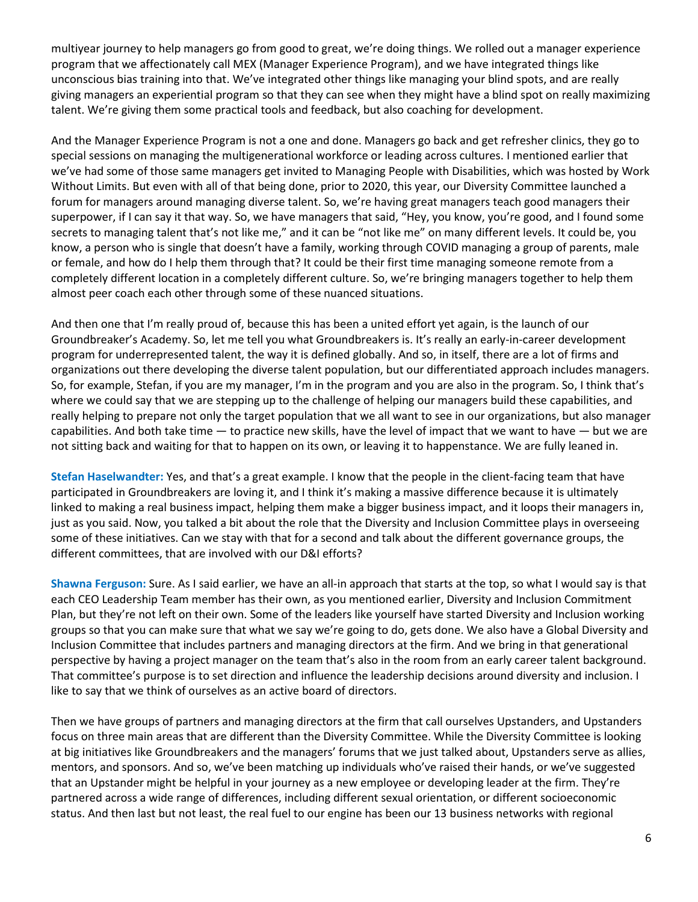multiyear journey to help managers go from good to great, we're doing things. We rolled out a manager experience program that we affectionately call MEX (Manager Experience Program), and we have integrated things like unconscious bias training into that. We've integrated other things like managing your blind spots, and are really giving managers an experiential program so that they can see when they might have a blind spot on really maximizing talent. We're giving them some practical tools and feedback, but also coaching for development.

And the Manager Experience Program is not a one and done. Managers go back and get refresher clinics, they go to special sessions on managing the multigenerational workforce or leading across cultures. I mentioned earlier that we've had some of those same managers get invited to Managing People with Disabilities, which was hosted by Work Without Limits. But even with all of that being done, prior to 2020, this year, our Diversity Committee launched a forum for managers around managing diverse talent. So, we're having great managers teach good managers their superpower, if I can say it that way. So, we have managers that said, "Hey, you know, you're good, and I found some secrets to managing talent that's not like me," and it can be "not like me" on many different levels. It could be, you know, a person who is single that doesn't have a family, working through COVID managing a group of parents, male or female, and how do I help them through that? It could be their first time managing someone remote from a completely different location in a completely different culture. So, we're bringing managers together to help them almost peer coach each other through some of these nuanced situations.

And then one that I'm really proud of, because this has been a united effort yet again, is the launch of our Groundbreaker's Academy. So, let me tell you what Groundbreakers is. It's really an early-in-career development program for underrepresented talent, the way it is defined globally. And so, in itself, there are a lot of firms and organizations out there developing the diverse talent population, but our differentiated approach includes managers. So, for example, Stefan, if you are my manager, I'm in the program and you are also in the program. So, I think that's where we could say that we are stepping up to the challenge of helping our managers build these capabilities, and really helping to prepare not only the target population that we all want to see in our organizations, but also manager capabilities. And both take time  $-$  to practice new skills, have the level of impact that we want to have  $-$  but we are not sitting back and waiting for that to happen on its own, or leaving it to happenstance. We are fully leaned in.

**Stefan Haselwandter:** Yes, and that's a great example. I know that the people in the client-facing team that have participated in Groundbreakers are loving it, and I think it's making a massive difference because it is ultimately linked to making a real business impact, helping them make a bigger business impact, and it loops their managers in, just as you said. Now, you talked a bit about the role that the Diversity and Inclusion Committee plays in overseeing some of these initiatives. Can we stay with that for a second and talk about the different governance groups, the different committees, that are involved with our D&I efforts?

**Shawna Ferguson:** Sure. As I said earlier, we have an all-in approach that starts at the top, so what I would say is that each CEO Leadership Team member has their own, as you mentioned earlier, Diversity and Inclusion Commitment Plan, but they're not left on their own. Some of the leaders like yourself have started Diversity and Inclusion working groups so that you can make sure that what we say we're going to do, gets done. We also have a Global Diversity and Inclusion Committee that includes partners and managing directors at the firm. And we bring in that generational perspective by having a project manager on the team that's also in the room from an early career talent background. That committee's purpose is to set direction and influence the leadership decisions around diversity and inclusion. I like to say that we think of ourselves as an active board of directors.

Then we have groups of partners and managing directors at the firm that call ourselves Upstanders, and Upstanders focus on three main areas that are different than the Diversity Committee. While the Diversity Committee is looking at big initiatives like Groundbreakers and the managers' forums that we just talked about, Upstanders serve as allies, mentors, and sponsors. And so, we've been matching up individuals who've raised their hands, or we've suggested that an Upstander might be helpful in your journey as a new employee or developing leader at the firm. They're partnered across a wide range of differences, including different sexual orientation, or different socioeconomic status. And then last but not least, the real fuel to our engine has been our 13 business networks with regional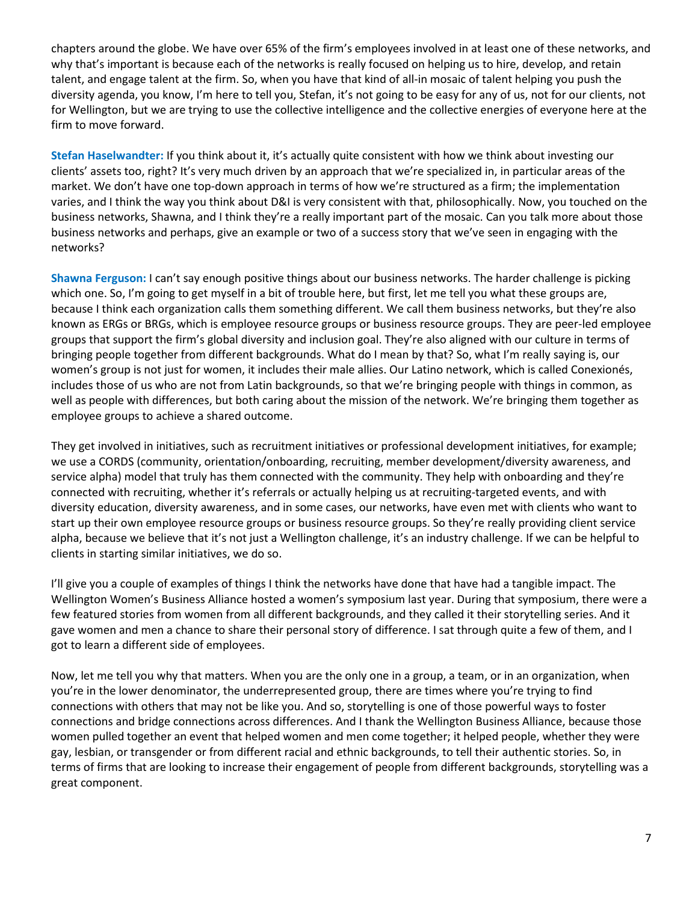chapters around the globe. We have over 65% of the firm's employees involved in at least one of these networks, and why that's important is because each of the networks is really focused on helping us to hire, develop, and retain talent, and engage talent at the firm. So, when you have that kind of all-in mosaic of talent helping you push the diversity agenda, you know, I'm here to tell you, Stefan, it's not going to be easy for any of us, not for our clients, not for Wellington, but we are trying to use the collective intelligence and the collective energies of everyone here at the firm to move forward.

**Stefan Haselwandter:** If you think about it, it's actually quite consistent with how we think about investing our clients' assets too, right? It's very much driven by an approach that we're specialized in, in particular areas of the market. We don't have one top-down approach in terms of how we're structured as a firm; the implementation varies, and I think the way you think about D&I is very consistent with that, philosophically. Now, you touched on the business networks, Shawna, and I think they're a really important part of the mosaic. Can you talk more about those business networks and perhaps, give an example or two of a success story that we've seen in engaging with the networks?

**Shawna Ferguson:** I can't say enough positive things about our business networks. The harder challenge is picking which one. So, I'm going to get myself in a bit of trouble here, but first, let me tell you what these groups are, because I think each organization calls them something different. We call them business networks, but they're also known as ERGs or BRGs, which is employee resource groups or business resource groups. They are peer-led employee groups that support the firm's global diversity and inclusion goal. They're also aligned with our culture in terms of bringing people together from different backgrounds. What do I mean by that? So, what I'm really saying is, our women's group is not just for women, it includes their male allies. Our Latino network, which is called Conexionés, includes those of us who are not from Latin backgrounds, so that we're bringing people with things in common, as well as people with differences, but both caring about the mission of the network. We're bringing them together as employee groups to achieve a shared outcome.

They get involved in initiatives, such as recruitment initiatives or professional development initiatives, for example; we use a CORDS (community, orientation/onboarding, recruiting, member development/diversity awareness, and service alpha) model that truly has them connected with the community. They help with onboarding and they're connected with recruiting, whether it's referrals or actually helping us at recruiting-targeted events, and with diversity education, diversity awareness, and in some cases, our networks, have even met with clients who want to start up their own employee resource groups or business resource groups. So they're really providing client service alpha, because we believe that it's not just a Wellington challenge, it's an industry challenge. If we can be helpful to clients in starting similar initiatives, we do so.

I'll give you a couple of examples of things I think the networks have done that have had a tangible impact. The Wellington Women's Business Alliance hosted a women's symposium last year. During that symposium, there were a few featured stories from women from all different backgrounds, and they called it their storytelling series. And it gave women and men a chance to share their personal story of difference. I sat through quite a few of them, and I got to learn a different side of employees.

Now, let me tell you why that matters. When you are the only one in a group, a team, or in an organization, when you're in the lower denominator, the underrepresented group, there are times where you're trying to find connections with others that may not be like you. And so, storytelling is one of those powerful ways to foster connections and bridge connections across differences. And I thank the Wellington Business Alliance, because those women pulled together an event that helped women and men come together; it helped people, whether they were gay, lesbian, or transgender or from different racial and ethnic backgrounds, to tell their authentic stories. So, in terms of firms that are looking to increase their engagement of people from different backgrounds, storytelling was a great component.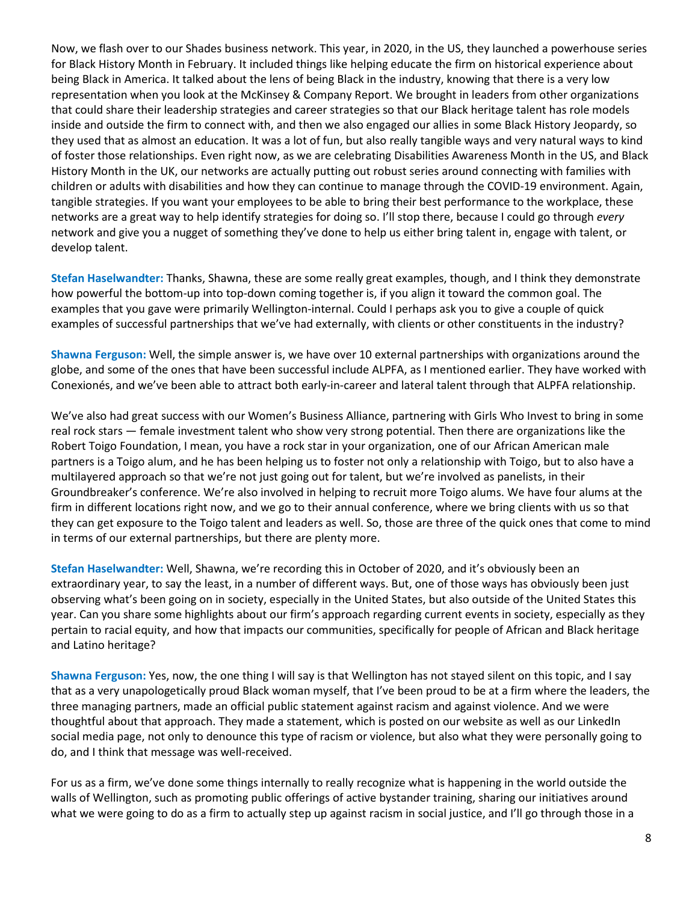Now, we flash over to our Shades business network. This year, in 2020, in the US, they launched a powerhouse series for Black History Month in February. It included things like helping educate the firm on historical experience about being Black in America. It talked about the lens of being Black in the industry, knowing that there is a very low representation when you look at the McKinsey & Company Report. We brought in leaders from other organizations that could share their leadership strategies and career strategies so that our Black heritage talent has role models inside and outside the firm to connect with, and then we also engaged our allies in some Black History Jeopardy, so they used that as almost an education. It was a lot of fun, but also really tangible ways and very natural ways to kind of foster those relationships. Even right now, as we are celebrating Disabilities Awareness Month in the US, and Black History Month in the UK, our networks are actually putting out robust series around connecting with families with children or adults with disabilities and how they can continue to manage through the COVID-19 environment. Again, tangible strategies. If you want your employees to be able to bring their best performance to the workplace, these networks are a great way to help identify strategies for doing so. I'll stop there, because I could go through *every* network and give you a nugget of something they've done to help us either bring talent in, engage with talent, or develop talent.

**Stefan Haselwandter:** Thanks, Shawna, these are some really great examples, though, and I think they demonstrate how powerful the bottom-up into top-down coming together is, if you align it toward the common goal. The examples that you gave were primarily Wellington-internal. Could I perhaps ask you to give a couple of quick examples of successful partnerships that we've had externally, with clients or other constituents in the industry?

**Shawna Ferguson:** Well, the simple answer is, we have over 10 external partnerships with organizations around the globe, and some of the ones that have been successful include ALPFA, as I mentioned earlier. They have worked with Conexionés, and we've been able to attract both early-in-career and lateral talent through that ALPFA relationship.

We've also had great success with our Women's Business Alliance, partnering with Girls Who Invest to bring in some real rock stars — female investment talent who show very strong potential. Then there are organizations like the Robert Toigo Foundation, I mean, you have a rock star in your organization, one of our African American male partners is a Toigo alum, and he has been helping us to foster not only a relationship with Toigo, but to also have a multilayered approach so that we're not just going out for talent, but we're involved as panelists, in their Groundbreaker's conference. We're also involved in helping to recruit more Toigo alums. We have four alums at the firm in different locations right now, and we go to their annual conference, where we bring clients with us so that they can get exposure to the Toigo talent and leaders as well. So, those are three of the quick ones that come to mind in terms of our external partnerships, but there are plenty more.

**Stefan Haselwandter:** Well, Shawna, we're recording this in October of 2020, and it's obviously been an extraordinary year, to say the least, in a number of different ways. But, one of those ways has obviously been just observing what's been going on in society, especially in the United States, but also outside of the United States this year. Can you share some highlights about our firm's approach regarding current events in society, especially as they pertain to racial equity, and how that impacts our communities, specifically for people of African and Black heritage and Latino heritage?

**Shawna Ferguson:** Yes, now, the one thing I will say is that Wellington has not stayed silent on this topic, and I say that as a very unapologetically proud Black woman myself, that I've been proud to be at a firm where the leaders, the three managing partners, made an official public statement against racism and against violence. And we were thoughtful about that approach. They made a statement, which is posted on our website as well as our LinkedIn social media page, not only to denounce this type of racism or violence, but also what they were personally going to do, and I think that message was well-received.

For us as a firm, we've done some things internally to really recognize what is happening in the world outside the walls of Wellington, such as promoting public offerings of active bystander training, sharing our initiatives around what we were going to do as a firm to actually step up against racism in social justice, and I'll go through those in a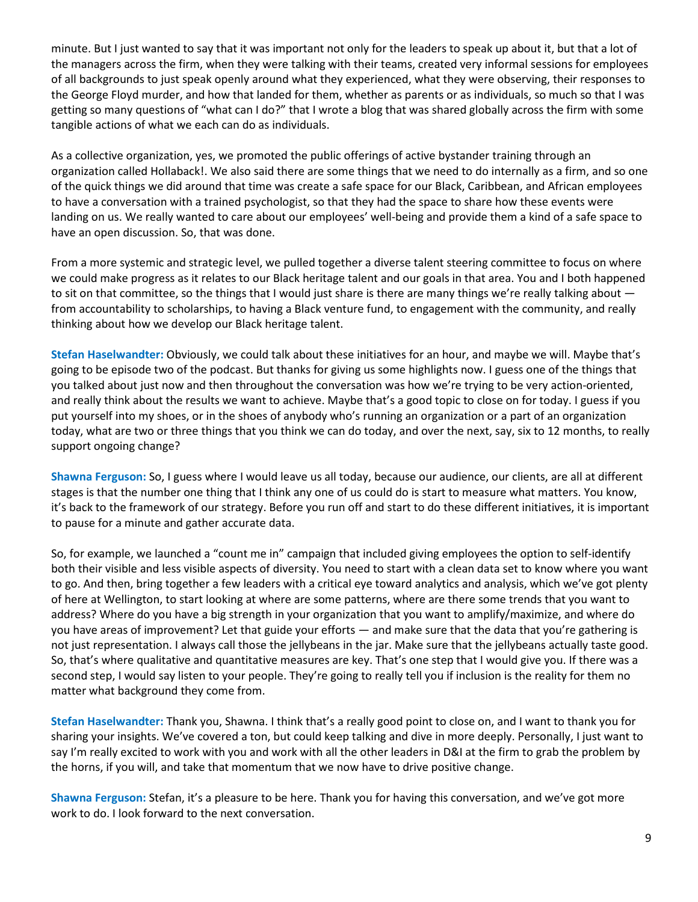minute. But I just wanted to say that it was important not only for the leaders to speak up about it, but that a lot of the managers across the firm, when they were talking with their teams, created very informal sessions for employees of all backgrounds to just speak openly around what they experienced, what they were observing, their responses to the George Floyd murder, and how that landed for them, whether as parents or as individuals, so much so that I was getting so many questions of "what can I do?" that I wrote a blog that was shared globally across the firm with some tangible actions of what we each can do as individuals.

As a collective organization, yes, we promoted the public offerings of active bystander training through an organization called Hollaback!. We also said there are some things that we need to do internally as a firm, and so one of the quick things we did around that time was create a safe space for our Black, Caribbean, and African employees to have a conversation with a trained psychologist, so that they had the space to share how these events were landing on us. We really wanted to care about our employees' well-being and provide them a kind of a safe space to have an open discussion. So, that was done.

From a more systemic and strategic level, we pulled together a diverse talent steering committee to focus on where we could make progress as it relates to our Black heritage talent and our goals in that area. You and I both happened to sit on that committee, so the things that I would just share is there are many things we're really talking about  $$ from accountability to scholarships, to having a Black venture fund, to engagement with the community, and really thinking about how we develop our Black heritage talent.

**Stefan Haselwandter:** Obviously, we could talk about these initiatives for an hour, and maybe we will. Maybe that's going to be episode two of the podcast. But thanks for giving us some highlights now. I guess one of the things that you talked about just now and then throughout the conversation was how we're trying to be very action-oriented, and really think about the results we want to achieve. Maybe that's a good topic to close on for today. I guess if you put yourself into my shoes, or in the shoes of anybody who's running an organization or a part of an organization today, what are two or three things that you think we can do today, and over the next, say, six to 12 months, to really support ongoing change?

**Shawna Ferguson:** So, I guess where I would leave us all today, because our audience, our clients, are all at different stages is that the number one thing that I think any one of us could do is start to measure what matters. You know, it's back to the framework of our strategy. Before you run off and start to do these different initiatives, it is important to pause for a minute and gather accurate data.

So, for example, we launched a "count me in" campaign that included giving employees the option to self-identify both their visible and less visible aspects of diversity. You need to start with a clean data set to know where you want to go. And then, bring together a few leaders with a critical eye toward analytics and analysis, which we've got plenty of here at Wellington, to start looking at where are some patterns, where are there some trends that you want to address? Where do you have a big strength in your organization that you want to amplify/maximize, and where do you have areas of improvement? Let that guide your efforts — and make sure that the data that you're gathering is not just representation. I always call those the jellybeans in the jar. Make sure that the jellybeans actually taste good. So, that's where qualitative and quantitative measures are key. That's one step that I would give you. If there was a second step, I would say listen to your people. They're going to really tell you if inclusion is the reality for them no matter what background they come from.

**Stefan Haselwandter:** Thank you, Shawna. I think that's a really good point to close on, and I want to thank you for sharing your insights. We've covered a ton, but could keep talking and dive in more deeply. Personally, I just want to say I'm really excited to work with you and work with all the other leaders in D&I at the firm to grab the problem by the horns, if you will, and take that momentum that we now have to drive positive change.

**Shawna Ferguson:** Stefan, it's a pleasure to be here. Thank you for having this conversation, and we've got more work to do. I look forward to the next conversation.